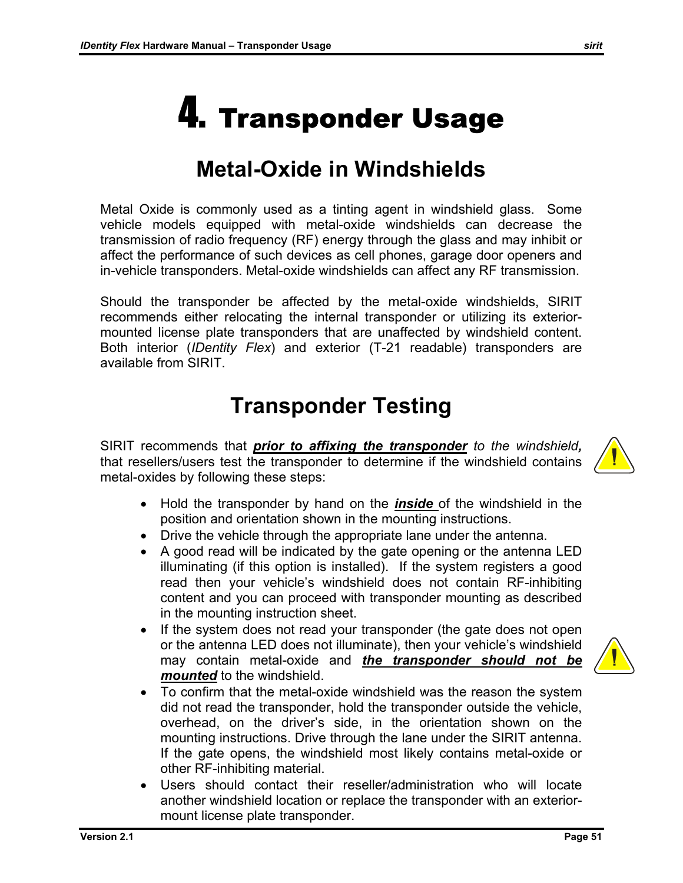Should the transponder be affected by the metal-oxide windshields, SIRIT recommends either relocating the internal transponder or utilizing its exteriormounted license plate transponders that are unaffected by windshield content. Both interior (*IDentity Flex*) and exterior (T-21 readable) transponders are available from SIRIT.

### **Transponder Testing**

SIRIT recommends that *prior to affixing the transponder to the windshield,*  that resellers/users test the transponder to determine if the windshield contains metal-oxides by following these steps:

- Hold the transponder by hand on the *inside* of the windshield in the position and orientation shown in the mounting instructions.
- Drive the vehicle through the appropriate lane under the antenna.
- A good read will be indicated by the gate opening or the antenna LED illuminating (if this option is installed). If the system registers a good read then your vehicle's windshield does not contain RF-inhibiting content and you can proceed with transponder mounting as described in the mounting instruction sheet.
- If the system does not read your transponder (the gate does not open or the antenna LED does not illuminate), then your vehicle's windshield may contain metal-oxide and *the transponder should not be mounted* to the windshield.
- To confirm that the metal-oxide windshield was the reason the system did not read the transponder, hold the transponder outside the vehicle, overhead, on the driver's side, in the orientation shown on the mounting instructions. Drive through the lane under the SIRIT antenna. If the gate opens, the windshield most likely contains metal-oxide or other RF-inhibiting material.
- Users should contact their reseller/administration who will locate another windshield location or replace the transponder with an exteriormount license plate transponder.



## 4. Transponder Usage

#### **Metal-Oxide in Windshields**

Metal Oxide is commonly used as a tinting agent in windshield glass. Some vehicle models equipped with metal-oxide windshields can decrease the transmission of radio frequency (RF) energy through the glass and may inhibit or affect the performance of such devices as cell phones, garage door openers and in-vehicle transponders. Metal-oxide windshields can affect any RF transmission.

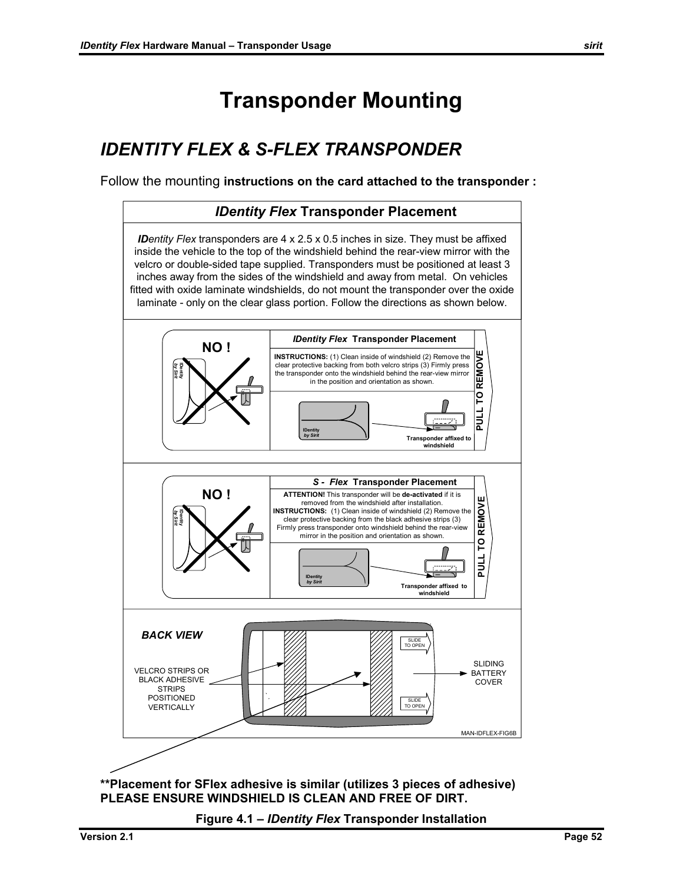#### **Transponder Mounting**

#### *IDENTITY FLEX & S-FLEX TRANSPONDER*

Follow the mounting **instructions on the card attached to the transponder :** 



**\*\*Placement for SFlex adhesive is similar (utilizes 3 pieces of adhesive) PLEASE ENSURE WINDSHIELD IS CLEAN AND FREE OF DIRT.** 

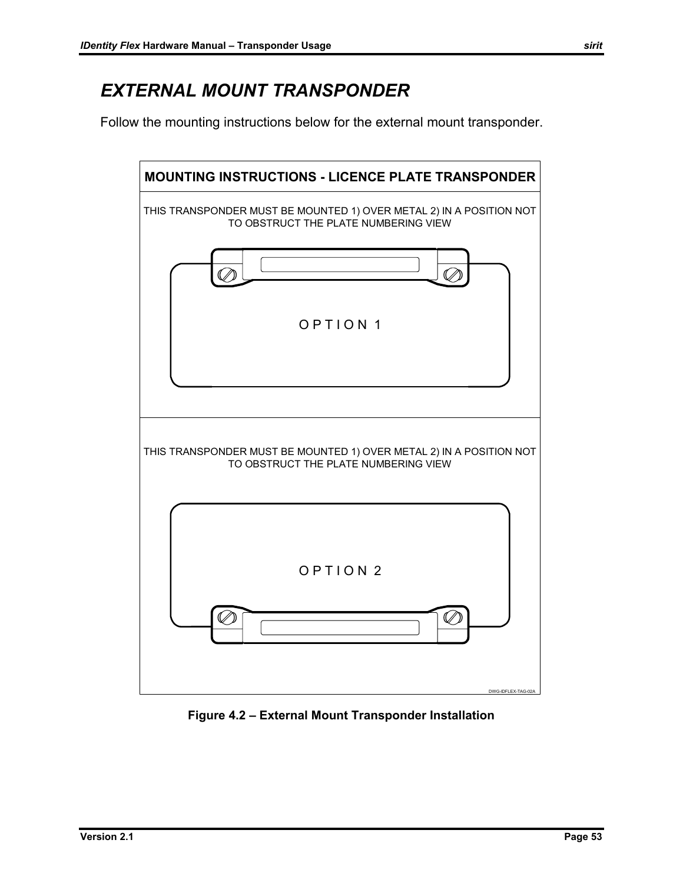#### *EXTERNAL MOUNT TRANSPONDER*

Follow the mounting instructions below for the external mount transponder.



**Figure 4.2 – External Mount Transponder Installation**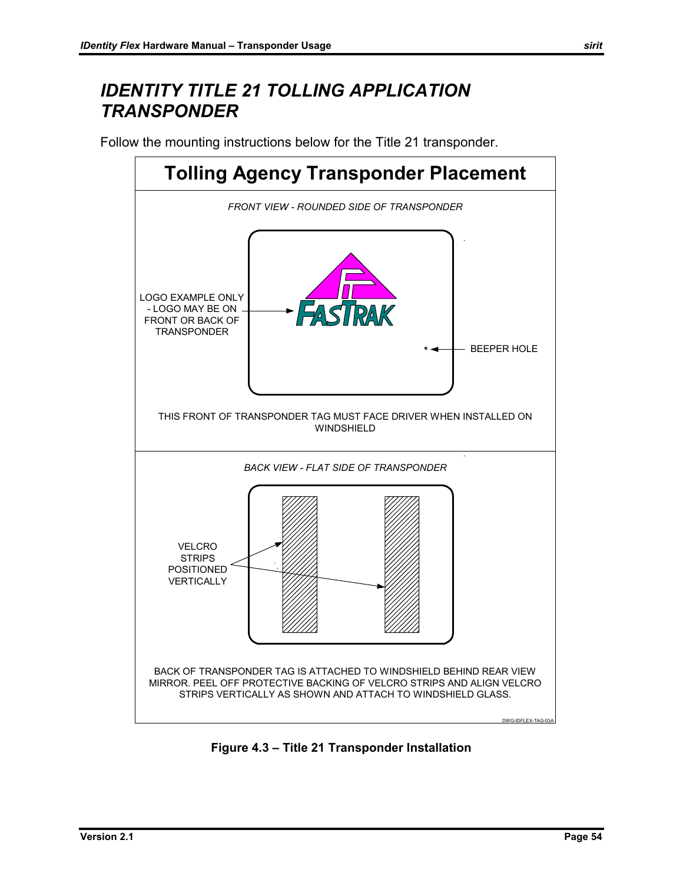#### *IDENTITY TITLE 21 TOLLING APPLICATION TRANSPONDER*

Follow the mounting instructions below for the Title 21 transponder.



**Figure 4.3 – Title 21 Transponder Installation**